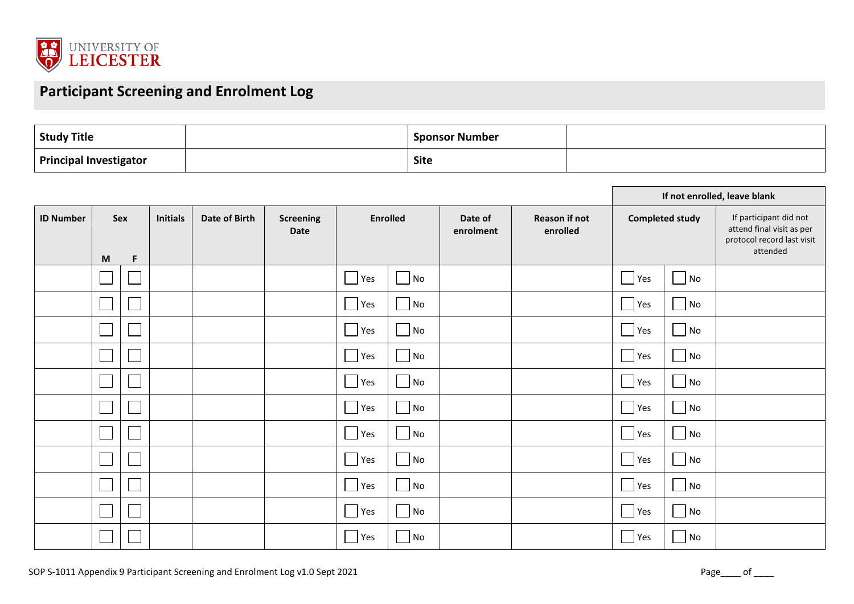

## **Participant Screening and Enrolment Log**

| <b>Study Title</b>            | <b>Sponsor Number</b> |  |
|-------------------------------|-----------------------|--|
| <b>Principal Investigator</b> | <b>Site</b>           |  |

|                  |                          |     |                 |               |                          |                 |    |                      |                                  | If not enrolled, leave blank |                             |                                                                                               |  |
|------------------|--------------------------|-----|-----------------|---------------|--------------------------|-----------------|----|----------------------|----------------------------------|------------------------------|-----------------------------|-----------------------------------------------------------------------------------------------|--|
| <b>ID Number</b> |                          | Sex | <b>Initials</b> | Date of Birth | <b>Screening</b><br>Date | <b>Enrolled</b> |    | Date of<br>enrolment | <b>Reason if not</b><br>enrolled | <b>Completed study</b>       |                             | If participant did not<br>attend final visit as per<br>protocol record last visit<br>attended |  |
|                  | M                        | F   |                 |               |                          |                 |    |                      |                                  |                              |                             |                                                                                               |  |
|                  |                          |     |                 |               |                          | Yes             | No |                      |                                  | Yes                          | No                          |                                                                                               |  |
|                  |                          |     |                 |               |                          | Yes             | No |                      |                                  | $\overline{\phantom{a}}$ Yes | No                          |                                                                                               |  |
|                  | $\Box$                   |     |                 |               |                          | Yes             | No |                      |                                  | $\blacksquare$ Yes           | N <sub>o</sub>              |                                                                                               |  |
|                  | $\overline{\phantom{a}}$ |     |                 |               |                          | Yes             | No |                      |                                  | $ $ Yes                      | $\overline{\phantom{a}}$ No |                                                                                               |  |
|                  | $\overline{\phantom{a}}$ |     |                 |               |                          | Yes             | No |                      |                                  | $\blacksquare$ Yes           | $\overline{\phantom{a}}$ No |                                                                                               |  |
|                  | $\Box$                   |     |                 |               |                          | Yes             | No |                      |                                  | $\blacksquare$ Yes           | $\overline{\phantom{a}}$ No |                                                                                               |  |
|                  |                          |     |                 |               |                          | Yes             | No |                      |                                  | $ $ Yes                      | No                          |                                                                                               |  |
|                  |                          |     |                 |               |                          | Yes             | No |                      |                                  | $\vert$ Yes                  | $\overline{\phantom{a}}$ No |                                                                                               |  |
|                  | $\Box$                   |     |                 |               |                          | Ξ<br>Yes        | No |                      |                                  | Yes                          | $\overline{\phantom{a}}$ No |                                                                                               |  |
|                  | $\mathbf{L}$             |     |                 |               |                          | Yes             | No |                      |                                  | $ $ Yes                      | $\overline{\phantom{a}}$ No |                                                                                               |  |
|                  |                          |     |                 |               |                          | Yes             | No |                      |                                  | $\blacksquare$ Yes           | $\overline{\phantom{a}}$ No |                                                                                               |  |